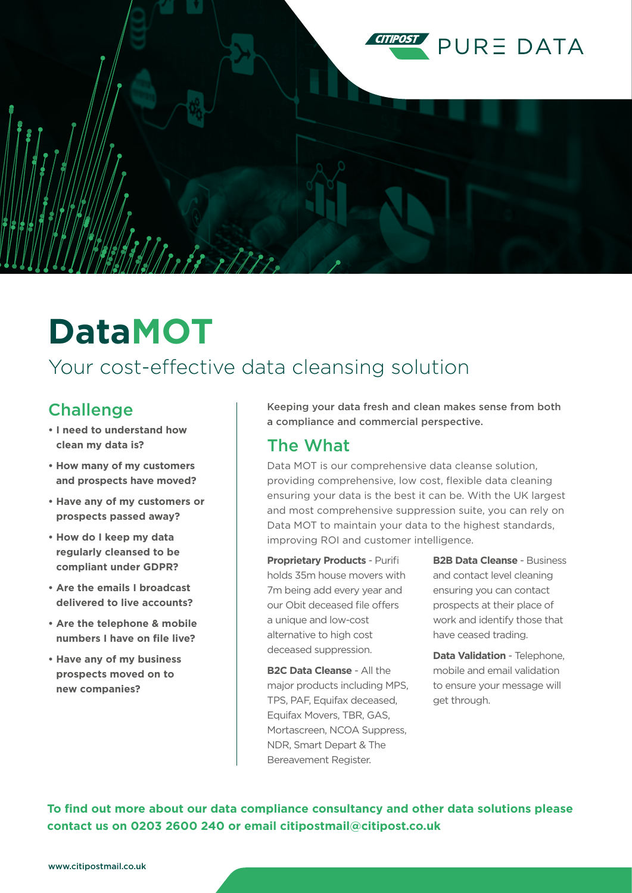

# **DataMOT**

# Your cost-effective data cleansing solution

# Challenge

- **I need to understand how clean my data is?**
- **How many of my customers and prospects have moved?**
- **Have any of my customers or prospects passed away?**
- **How do I keep my data regularly cleansed to be compliant under GDPR?**
- **Are the emails I broadcast delivered to live accounts?**
- **Are the telephone & mobile numbers I have on file live?**
- **Have any of my business prospects moved on to new companies?**

Keeping your data fresh and clean makes sense from both a compliance and commercial perspective.

### The What

Data MOT is our comprehensive data cleanse solution, providing comprehensive, low cost, flexible data cleaning ensuring your data is the best it can be. With the UK largest and most comprehensive suppression suite, you can rely on Data MOT to maintain your data to the highest standards, improving ROI and customer intelligence.

**Proprietary Products** - Purifi holds 35m house movers with 7m being add every year and our Obit deceased file offers a unique and low-cost alternative to high cost deceased suppression.

**B2C Data Cleanse** - All the major products including MPS, TPS, PAF, Equifax deceased, Equifax Movers, TBR, GAS, Mortascreen, NCOA Suppress, NDR, Smart Depart & The Bereavement Register.

**B2B Data Cleanse** - Business and contact level cleaning ensuring you can contact prospects at their place of work and identify those that have ceased trading.

**Data Validation** - Telephone, mobile and email validation to ensure your message will get through.

**To find out more about our data compliance consultancy and other data solutions please contact us on 0203 2600 240 or email citipostmail@citipost.co.uk**